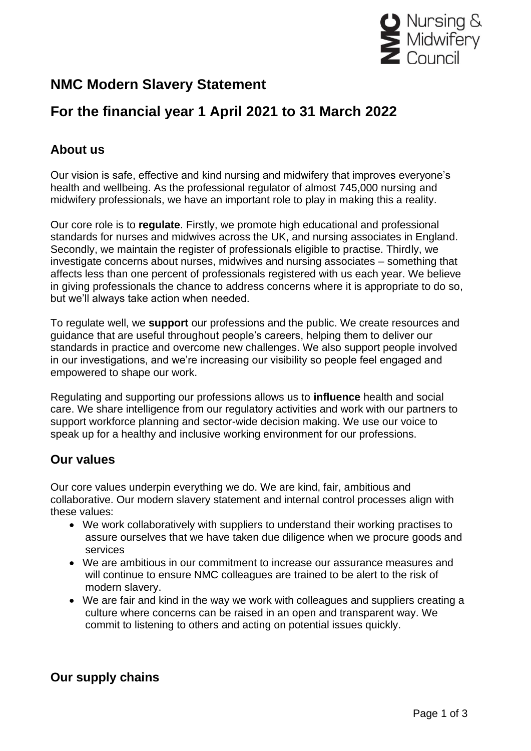

## **NMC Modern Slavery Statement**

# **For the financial year 1 April 2021 to 31 March 2022**

## **About us**

Our vision is safe, effective and kind nursing and midwifery that improves everyone's health and wellbeing. As the professional regulator of almost 745,000 nursing and midwifery professionals, we have an important role to play in making this a reality.

Our core role is to **regulate**. Firstly, we promote high educational and professional standards for nurses and midwives across the UK, and nursing associates in England. Secondly, we maintain the register of professionals eligible to practise. Thirdly, we investigate concerns about nurses, midwives and nursing associates – something that affects less than one percent of professionals registered with us each year. We believe in giving professionals the chance to address concerns where it is appropriate to do so, but we'll always take action when needed.

To regulate well, we **support** our professions and the public. We create resources and guidance that are useful throughout people's careers, helping them to deliver our standards in practice and overcome new challenges. We also support people involved in our investigations, and we're increasing our visibility so people feel engaged and empowered to shape our work.

Regulating and supporting our professions allows us to **influence** health and social care. We share intelligence from our regulatory activities and work with our partners to support workforce planning and sector-wide decision making. We use our voice to speak up for a healthy and inclusive working environment for our professions.

## **Our values**

Our core values underpin everything we do. We are kind, fair, ambitious and collaborative. Our modern slavery statement and internal control processes align with these values:

- We work collaboratively with suppliers to understand their working practises to assure ourselves that we have taken due diligence when we procure goods and services
- We are ambitious in our commitment to increase our assurance measures and will continue to ensure NMC colleagues are trained to be alert to the risk of modern slavery.
- We are fair and kind in the way we work with colleagues and suppliers creating a culture where concerns can be raised in an open and transparent way. We commit to listening to others and acting on potential issues quickly.

## **Our supply chains**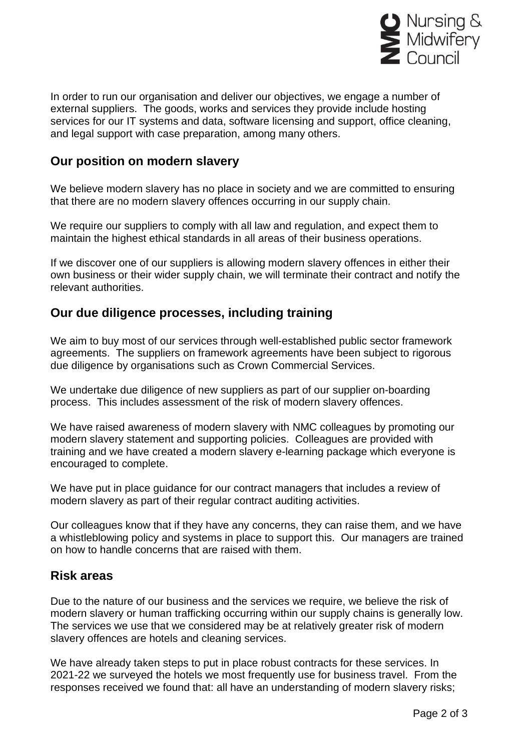

In order to run our organisation and deliver our objectives, we engage a number of external suppliers. The goods, works and services they provide include hosting services for our IT systems and data, software licensing and support, office cleaning, and legal support with case preparation, among many others.

#### **Our position on modern slavery**

We believe modern slavery has no place in society and we are committed to ensuring that there are no modern slavery offences occurring in our supply chain.

We require our suppliers to comply with all law and regulation, and expect them to maintain the highest ethical standards in all areas of their business operations.

If we discover one of our suppliers is allowing modern slavery offences in either their own business or their wider supply chain, we will terminate their contract and notify the relevant authorities.

## **Our due diligence processes, including training**

We aim to buy most of our services through well-established public sector framework agreements. The suppliers on framework agreements have been subject to rigorous due diligence by organisations such as Crown Commercial Services.

We undertake due diligence of new suppliers as part of our supplier on-boarding process. This includes assessment of the risk of modern slavery offences.

We have raised awareness of modern slavery with NMC colleagues by promoting our modern slavery statement and supporting policies. Colleagues are provided with training and we have created a modern slavery e-learning package which everyone is encouraged to complete.

We have put in place guidance for our contract managers that includes a review of modern slavery as part of their regular contract auditing activities.

Our colleagues know that if they have any concerns, they can raise them, and we have a whistleblowing policy and systems in place to support this. Our managers are trained on how to handle concerns that are raised with them.

#### **Risk areas**

Due to the nature of our business and the services we require, we believe the risk of modern slavery or human trafficking occurring within our supply chains is generally low. The services we use that we considered may be at relatively greater risk of modern slavery offences are hotels and cleaning services.

We have already taken steps to put in place robust contracts for these services. In 2021-22 we surveyed the hotels we most frequently use for business travel. From the responses received we found that: all have an understanding of modern slavery risks;